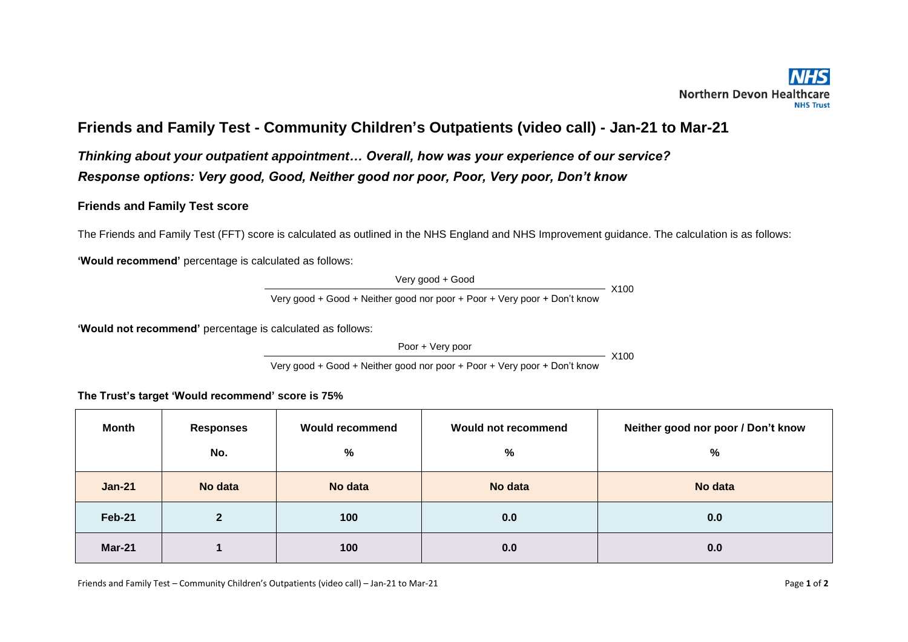## **Friends and Family Test - Community Children's Outpatients (video call) - Jan-21 to Mar-21**

*Thinking about your outpatient appointment… Overall, how was your experience of our service? Response options: Very good, Good, Neither good nor poor, Poor, Very poor, Don't know* 

## **Friends and Family Test score**

The Friends and Family Test (FFT) score is calculated as outlined in the NHS England and NHS Improvement guidance. The calculation is as follows:

**'Would recommend'** percentage is calculated as follows:

Very good + Good X100 Very good + Good + Neither good nor poor + Poor + Very poor + Don't know

**'Would not recommend'** percentage is calculated as follows:

Poor + Very poor

 $- X100$ 

Very good + Good + Neither good nor poor + Poor + Very poor + Don't know

**The Trust's target 'Would recommend' score is 75%**

| <b>Month</b>  | <b>Responses</b> | <b>Would recommend</b> | Would not recommend | Neither good nor poor / Don't know |  |
|---------------|------------------|------------------------|---------------------|------------------------------------|--|
|               | No.              | %                      | $\frac{0}{0}$       | %                                  |  |
| <b>Jan-21</b> | No data          | No data                | No data             | No data                            |  |
| <b>Feb-21</b> | 2                | 100                    | 0.0                 | 0.0                                |  |
| <b>Mar-21</b> |                  | 100                    | 0.0                 | 0.0                                |  |

Friends and Family Test – Community Children's Outpatients (video call) – Jan-21 to Mar-21 Page 10 Page 10 of 2